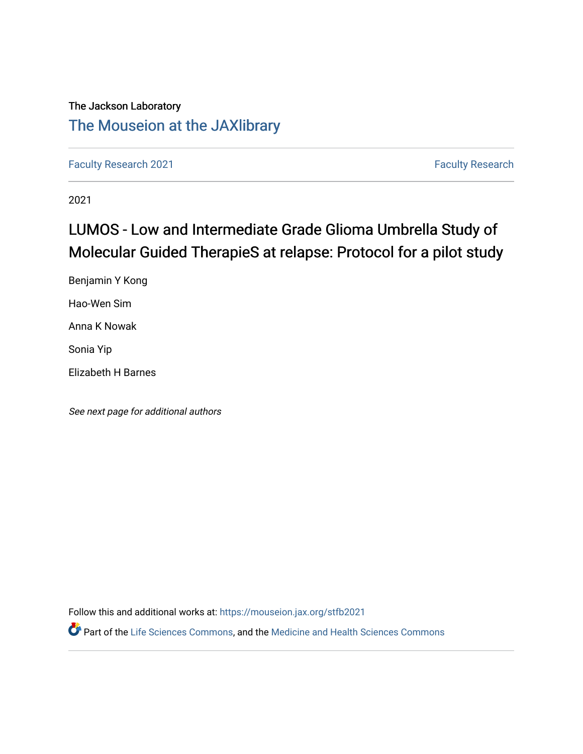## The Jackson Laboratory [The Mouseion at the JAXlibrary](https://mouseion.jax.org/)

[Faculty Research 2021](https://mouseion.jax.org/stfb2021) **Faculty Research** 2021

2021

## LUMOS - Low and Intermediate Grade Glioma Umbrella Study of Molecular Guided TherapieS at relapse: Protocol for a pilot study

Benjamin Y Kong Hao-Wen Sim Anna K Nowak Sonia Yip Elizabeth H Barnes

See next page for additional authors

Follow this and additional works at: [https://mouseion.jax.org/stfb2021](https://mouseion.jax.org/stfb2021?utm_source=mouseion.jax.org%2Fstfb2021%2F305&utm_medium=PDF&utm_campaign=PDFCoverPages)

Part of the [Life Sciences Commons,](http://network.bepress.com/hgg/discipline/1016?utm_source=mouseion.jax.org%2Fstfb2021%2F305&utm_medium=PDF&utm_campaign=PDFCoverPages) and the [Medicine and Health Sciences Commons](http://network.bepress.com/hgg/discipline/648?utm_source=mouseion.jax.org%2Fstfb2021%2F305&utm_medium=PDF&utm_campaign=PDFCoverPages)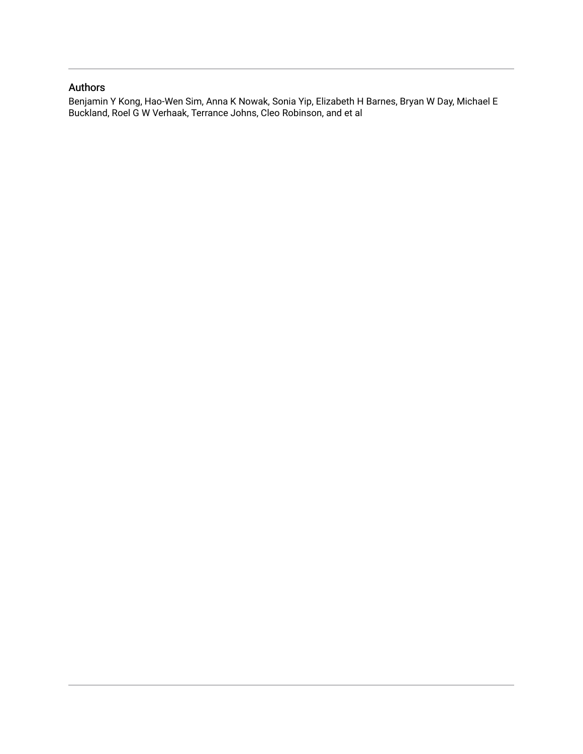### Authors

Benjamin Y Kong, Hao-Wen Sim, Anna K Nowak, Sonia Yip, Elizabeth H Barnes, Bryan W Day, Michael E Buckland, Roel G W Verhaak, Terrance Johns, Cleo Robinson, and et al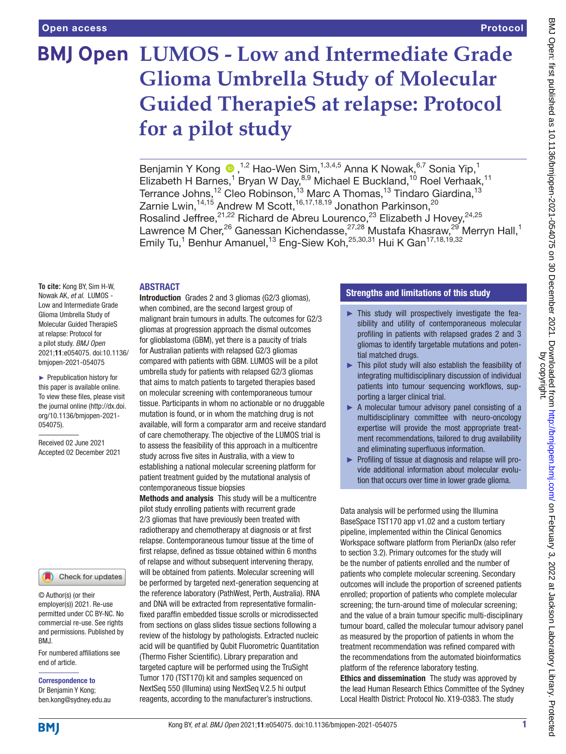# **BMJ Open LUMOS - Low and Intermediate Grade Glioma Umbrella Study of Molecular Guided TherapieS at relapse: Protocol for a pilot study**

BenjaminY Kong <sup>n,1,2</sup> Hao-Wen Sim,<sup>1,3,4,5</sup> Anna K Nowak,<sup>6,7</sup> Sonia Yip,<sup>1</sup> Elizabeth H Barnes,<sup>1</sup> Bryan W Day,<sup>8,9</sup> Michael E Buckland,<sup>10</sup> Roel Verhaak,<sup>11</sup> Terrance Johns, $^{\rm 12}$  Cleo Robinson, $^{\rm 13}$  Marc A Thomas, $^{\rm 13}$  Tindaro Giardina, $^{\rm 13}$ Zarnie Lwin, $^{14,15}$  Andrew M Scott, $^{16,17,18,19}$  Jonathon Parkinson, $^{20}$ Rosalind Jeffree,<sup>21,22</sup> Richard de Abreu Lourenco,<sup>23</sup> Elizabeth J Hovey,<sup>24,25</sup> Lawrence M Cher,<sup>26</sup> Ganessan Kichendasse,<sup>27,28</sup> Mustafa Khasraw,<sup>29</sup> Merryn Hall,<sup>1</sup> Emily Tu,<sup>1</sup> Benhur Amanuel,<sup>13</sup> Eng-Siew Koh,<sup>25,30,31</sup> Hui K Gan<sup>17,18,19,32</sup>

#### ABSTRACT

**To cite:** Kong BY, Sim H-W, Nowak AK, *et al*. LUMOS - Low and Intermediate Grade Glioma Umbrella Study of Molecular Guided TherapieS at relapse: Protocol for a pilot study. *BMJ Open* 2021;11:e054075. doi:10.1136/ bmjopen-2021-054075

► Prepublication history for this paper is available online. To view these files, please visit the journal online [\(http://dx.doi.](http://dx.doi.org/10.1136/bmjopen-2021-054075) [org/10.1136/bmjopen-2021-](http://dx.doi.org/10.1136/bmjopen-2021-054075) [054075\)](http://dx.doi.org/10.1136/bmjopen-2021-054075).

Received 02 June 2021 Accepted 02 December 2021



© Author(s) (or their employer(s)) 2021. Re-use permitted under CC BY-NC. No commercial re-use. See rights and permissions. Published by BMJ.

For numbered affiliations see end of article.

Correspondence to Dr Benjamin Y Kong; ben.kong@sydney.edu.au

Introduction Grades 2 and 3 gliomas (G2/3 gliomas), when combined, are the second largest group of malignant brain tumours in adults. The outcomes for G2/3 gliomas at progression approach the dismal outcomes for glioblastoma (GBM), yet there is a paucity of trials for Australian patients with relapsed G2/3 gliomas compared with patients with GBM. LUMOS will be a pilot umbrella study for patients with relapsed G2/3 gliomas that aims to match patients to targeted therapies based on molecular screening with contemporaneous tumour tissue. Participants in whom no actionable or no druggable mutation is found, or in whom the matching drug is not available, will form a comparator arm and receive standard of care chemotherapy. The objective of the LUMOS trial is to assess the feasibility of this approach in a multicentre study across five sites in Australia, with a view to establishing a national molecular screening platform for patient treatment guided by the mutational analysis of contemporaneous tissue biopsies

Methods and analysis This study will be a multicentre pilot study enrolling patients with recurrent grade 2/3 gliomas that have previously been treated with radiotherapy and chemotherapy at diagnosis or at first relapse. Contemporaneous tumour tissue at the time of first relapse, defined as tissue obtained within 6 months of relapse and without subsequent intervening therapy, will be obtained from patients. Molecular screening will be performed by targeted next-generation sequencing at the reference laboratory (PathWest, Perth, Australia). RNA and DNA will be extracted from representative formalinfixed paraffin embedded tissue scrolls or microdissected from sections on glass slides tissue sections following a review of the histology by pathologists. Extracted nucleic acid will be quantified by Qubit Fluorometric Quantitation (Thermo Fisher Scientific). Library preparation and targeted capture will be performed using the TruSight Tumor 170 (TST170) kit and samples sequenced on NextSeq 550 (Illumina) using NextSeq V.2.5 hi output reagents, according to the manufacturer's instructions.

### Strengths and limitations of this study

- $\blacktriangleright$  This study will prospectively investigate the feasibility and utility of contemporaneous molecular profiling in patients with relapsed grades 2 and 3 gliomas to identify targetable mutations and potential matched drugs.
- ► This pilot study will also establish the feasibility of integrating multidisciplinary discussion of individual patients into tumour sequencing workflows, supporting a larger clinical trial.
- ► A molecular tumour advisory panel consisting of a multidisciplinary committee with neuro-oncology expertise will provide the most appropriate treatment recommendations, tailored to drug availability and eliminating superfluous information.
- ► Profiling of tissue at diagnosis and relapse will provide additional information about molecular evolution that occurs over time in lower grade glioma.

Data analysis will be performed using the Illumina BaseSpace TST170 app v1.02 and a custom tertiary pipeline, implemented within the Clinical Genomics Workspace software platform from PierianDx (also refer to section 3.2). Primary outcomes for the study will be the number of patients enrolled and the number of patients who complete molecular screening. Secondary outcomes will include the proportion of screened patients enrolled; proportion of patients who complete molecular screening; the turn-around time of molecular screening; and the value of a brain tumour specific multi-disciplinary tumour board, called the molecular tumour advisory panel as measured by the proportion of patients in whom the treatment recommendation was refined compared with the recommendations from the automated bioinformatics platform of the reference laboratory testing.

Ethics and dissemination The study was approved by the lead Human Research Ethics Committee of the Sydney Local Health District: Protocol No. X19-0383. The study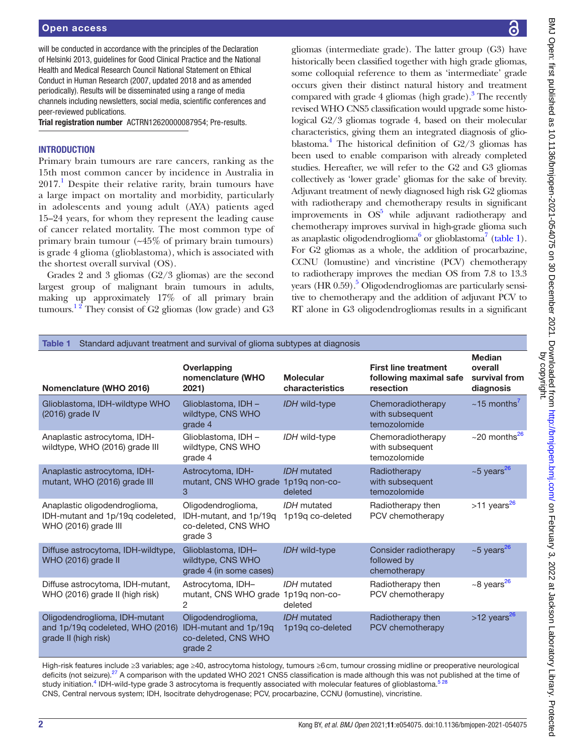### Open access

will be conducted in accordance with the principles of the Declaration of Helsinki 2013, guidelines for Good Clinical Practice and the National Health and Medical Research Council National Statement on Ethical Conduct in Human Research (2007, updated 2018 and as amended periodically). Results will be disseminated using a range of media channels including newsletters, social media, scientific conferences and peer-reviewed publications.

Trial registration number ACTRN12620000087954; Pre-results.

### **INTRODUCTION**

Primary brain tumours are rare cancers, ranking as the 15th most common cancer by incidence in Australia in  $2017<sup>1</sup>$  $2017<sup>1</sup>$  $2017<sup>1</sup>$  Despite their relative rarity, brain tumours have a large impact on mortality and morbidity, particularly in adolescents and young adult (AYA) patients aged 15–24 years, for whom they represent the leading cause of cancer related mortality. The most common type of primary brain tumour (~45% of primary brain tumours) is grade 4 glioma (glioblastoma), which is associated with the shortest overall survival (OS).

Grades 2 and 3 gliomas (G2/3 gliomas) are the second largest group of malignant brain tumours in adults, making up approximately 17% of all primary brain tumours.<sup>12</sup> They consist of G2 gliomas (low grade) and G3 BMJ Open: first published as 10.1136/bmjopen-2021-054075 on 30 December 2021. Downloaded from http://bmjopen.bmj.com/ on February 3, 2022 at Jackson Laboratory Library. Protected<br>Dy copyright published as 10.1136/bmjopen-2 BMJ Open: first published as 10.1136/bmjopen-2021-054076 on 30 December 2021. Downloaded from <http://bmjopen.bmj.com/> on February 3, 2022 at Jackson Laboratory Library. Protected by copyright.

gliomas (intermediate grade). The latter group (G3) have historically been classified together with high grade gliomas, some colloquial reference to them as 'intermediate' grade occurs given their distinct natural history and treatment compared with grade 4 gliomas (high grade).<sup>3</sup> The recently revised WHO CNS5 classification would upgrade some histological G2/3 gliomas tograde 4, based on their molecular characteristics, giving them an integrated diagnosis of glioblastoma[.4](#page-10-2) The historical definition of G2/3 gliomas has been used to enable comparison with already completed studies. Hereafter, we will refer to the G2 and G3 gliomas collectively as 'lower grade' gliomas for the sake of brevity. Adjuvant treatment of newly diagnosed high risk G2 gliomas with radiotherapy and chemotherapy results in significant improvements in  $OS<sup>5</sup>$  while adjuvant radiotherapy and chemotherapy improves survival in high-grade glioma such as anaplastic oligodendroglioma<sup>6</sup> or glioblastoma<sup>7</sup> [\(table](#page-3-0) 1). For G2 gliomas as a whole, the addition of procarbazine, CCNU (lomustine) and vincristine (PCV) chemotherapy to radiotherapy improves the median OS from 7.8 to 13.3 years (HR 0[.5](#page-10-3)9).<sup>5</sup> Oligodendrogliomas are particularly sensitive to chemotherapy and the addition of adjuvant PCV to RT alone in G3 oligodendrogliomas results in a significant

<span id="page-3-0"></span>

| Standard adjuvant treatment and survival of glioma subtypes at diagnosis<br>Table 1       |                                                                                |                                        |                                                                    |                                                        |  |  |
|-------------------------------------------------------------------------------------------|--------------------------------------------------------------------------------|----------------------------------------|--------------------------------------------------------------------|--------------------------------------------------------|--|--|
| Nomenclature (WHO 2016)                                                                   | Overlapping<br>nomenclature (WHO<br>2021)                                      | <b>Molecular</b><br>characteristics    | <b>First line treatment</b><br>following maximal safe<br>resection | <b>Median</b><br>overall<br>survival from<br>diagnosis |  |  |
| Glioblastoma, IDH-wildtype WHO<br>(2016) grade IV                                         | Glioblastoma, IDH -<br>wildtype, CNS WHO<br>grade 4                            | IDH wild-type                          | Chemoradiotherapy<br>with subsequent<br>temozolomide               | $\sim$ 15 months <sup>7</sup>                          |  |  |
| Anaplastic astrocytoma, IDH-<br>wildtype, WHO (2016) grade III                            | Glioblastoma, IDH -<br>wildtype, CNS WHO<br>grade 4                            | IDH wild-type                          | Chemoradiotherapy<br>with subsequent<br>temozolomide               | $\sim$ 20 months <sup>26</sup>                         |  |  |
| Anaplastic astrocytoma, IDH-<br>mutant, WHO (2016) grade III                              | Astrocytoma, IDH-<br>mutant, CNS WHO grade 1p19q non-co-<br>3                  | <b>IDH</b> mutated<br>deleted          | Radiotherapy<br>with subsequent<br>temozolomide                    | $\sim$ 5 years <sup>26</sup>                           |  |  |
| Anaplastic oligodendroglioma,<br>IDH-mutant and 1p/19q codeleted,<br>WHO (2016) grade III | Oligodendroglioma,<br>IDH-mutant, and 1p/19q<br>co-deleted, CNS WHO<br>grade 3 | IDH mutated<br>1p19q co-deleted        | Radiotherapy then<br>PCV chemotherapy                              | $>11$ years <sup>26</sup>                              |  |  |
| Diffuse astrocytoma, IDH-wildtype,<br>WHO (2016) grade II                                 | Glioblastoma, IDH-<br>wildtype, CNS WHO<br>grade 4 (in some cases)             | IDH wild-type                          | Consider radiotherapy<br>followed by<br>chemotherapy               | $~5$ years <sup>26</sup>                               |  |  |
| Diffuse astrocytoma, IDH-mutant,<br>WHO (2016) grade II (high risk)                       | Astrocytoma, IDH-<br>mutant, CNS WHO grade 1p19q non-co-<br>2                  | IDH mutated<br>deleted                 | Radiotherapy then<br>PCV chemotherapy                              | $~10^{-8}$ years <sup>26</sup>                         |  |  |
| Oligodendroglioma, IDH-mutant<br>and 1p/19q codeleted, WHO (2016)<br>grade II (high risk) | Oligodendroglioma,<br>IDH-mutant and 1p/19q<br>co-deleted, CNS WHO<br>grade 2  | <b>IDH</b> mutated<br>1p19q co-deleted | Radiotherapy then<br>PCV chemotherapy                              | $>12$ years <sup>26</sup>                              |  |  |

High-risk features include ≥3 variables; age ≥40, astrocytoma histology, tumours ≥6cm, tumour crossing midline or preoperative neurological deficits (not seizure).<sup>27</sup> A comparison with the updated WHO 2021 CNS5 classification is made although this was not published at the time of study initiation.<sup>[4](#page-10-2)</sup> IDH-wild-type grade 3 astrocytoma is frequently associated with molecular features of glioblastoma.<sup>[5 28](#page-10-3)</sup> CNS, Central nervous system; IDH, Isocitrate dehydrogenase; PCV, procarbazine, CCNU (lomustine), vincristine.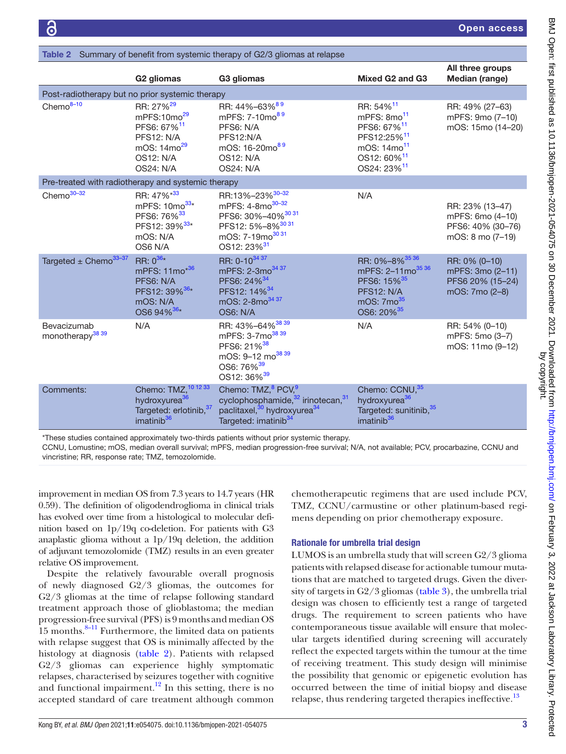| <b>Table 2</b> Summary of benefit from systemic therapy of G2/3 gilomas at relapse |                                                                                                                                                |                                                                                                                                                                              |                                                                                                                                                                                         |                                                                              |  |
|------------------------------------------------------------------------------------|------------------------------------------------------------------------------------------------------------------------------------------------|------------------------------------------------------------------------------------------------------------------------------------------------------------------------------|-----------------------------------------------------------------------------------------------------------------------------------------------------------------------------------------|------------------------------------------------------------------------------|--|
|                                                                                    | G <sub>2</sub> gliomas                                                                                                                         | G3 gliomas                                                                                                                                                                   | Mixed G <sub>2</sub> and G <sub>3</sub>                                                                                                                                                 | All three groups<br>Median (range)                                           |  |
| Post-radiotherapy but no prior systemic therapy                                    |                                                                                                                                                |                                                                                                                                                                              |                                                                                                                                                                                         |                                                                              |  |
| $Chemo8-10$                                                                        | RR: 27% <sup>29</sup><br>mPFS:10mo <sup>29</sup><br>PFS6: 67% <sup>11</sup><br><b>PFS12: N/A</b><br>mOS: $14mo^{29}$<br>OS12: N/A<br>OS24: N/A | RR: 44%-63% <sup>89</sup><br>mPFS: 7-10mo <sup>89</sup><br>PFS6: N/A<br>PFS12:N/A<br>mOS: 16-20mo <sup>89</sup><br>OS12: N/A<br>OS24: N/A                                    | RR: 54% <sup>11</sup><br>mPFS: 8mo <sup>11</sup><br>PFS6: 67% <sup>11</sup><br>PFS12:25% <sup>11</sup><br>mOS: 14mo <sup>11</sup><br>OS12: 60% <sup>11</sup><br>OS24: 23% <sup>11</sup> | RR: 49% (27-63)<br>mPFS: 9mo (7-10)<br>mOS: 15mo (14-20)                     |  |
| Pre-treated with radiotherapy and systemic therapy                                 |                                                                                                                                                |                                                                                                                                                                              |                                                                                                                                                                                         |                                                                              |  |
| Chemo $30-32$                                                                      | RR: 47%*33<br>mPFS: 10mo <sup>33*</sup><br>PFS6: 76% <sup>33</sup><br>PFS12: 39% <sup>33*</sup><br>mOS: N/A<br>OS6 N/A                         | RR:13%-23% <sup>30-32</sup><br>mPFS: 4-8mo <sup>30-32</sup><br>PFS6: 30%-40% 30 31<br>PFS12: 5%-8% <sup>3031</sup><br>mOS: 7-19mo <sup>3031</sup><br>OS12: 23% <sup>31</sup> | N/A                                                                                                                                                                                     | RR: 23% (13-47)<br>mPFS: 6mo (4-10)<br>PFS6: 40% (30-76)<br>mOS: 8 mo (7-19) |  |
| Targeted $\pm$ Chemo <sup>33-37</sup>                                              | RR: $0^{36*}$<br>mPFS: 11mo <sup>*36</sup><br>PFS6: N/A<br>PFS12: 39% <sup>36*</sup><br>mOS: N/A<br>OS6 94% <sup>36</sup> *                    | RR: 0-10 <sup>34 37</sup><br>mPFS: 2-3mo <sup>34 37</sup><br>PFS6: 24% <sup>34</sup><br>PFS12: 14% <sup>34</sup><br>mOS: 2-8mo <sup>34 37</sup><br>OS6: N/A                  | RR: 0%-8% <sup>35</sup> 36<br>mPFS: 2-11mo <sup>35 36</sup><br>PFS6: 15% <sup>35</sup><br><b>PFS12: N/A</b><br>mOS: $7 \text{mo}^{35}$<br>OS6: 20% <sup>35</sup>                        | RR: 0% (0-10)<br>mPFS: 3mo (2-11)<br>PFS6 20% (15-24)<br>mOS: 7mo (2-8)      |  |
| Bevacizumab<br>monotherapy <sup>38</sup> 39                                        | N/A                                                                                                                                            | RR: 43%-64% 38 39<br>mPFS: 3-7mo <sup>38 39</sup><br>PFS6: 21% <sup>38</sup><br>mOS: 9-12 mo <sup>38 39</sup><br>OS6: 76% <sup>39</sup><br>OS12: 36% <sup>39</sup>           | N/A                                                                                                                                                                                     | RR: 54% (0-10)<br>mPFS: 5mo (3-7)<br>mOS: 11mo (9-12)                        |  |
| Comments:                                                                          | Chemo: TMZ, 10 12 33<br>hydroxyurea <sup>36</sup><br>Targeted: erlotinib, 37<br>imatinib <sup>36</sup>                                         | Chemo: TMZ, <sup>8</sup> PCV, <sup>9</sup><br>cyclophosphamide, 32 irinotecan, 31<br>paclitaxel, <sup>30</sup> hydroxyurea <sup>34</sup><br>Targeted: imatinib <sup>34</sup> | Chemo: CCNU, 35<br>hydroxyurea <sup>36</sup><br>Targeted: sunitinib, 35<br>imatinib <sup>36</sup>                                                                                       |                                                                              |  |

<span id="page-4-0"></span>Table 2 Summary of benefit from systemic therapy of G2/3 gliomas at relapse

\*These studies contained approximately two-thirds patients without prior systemic therapy.

CCNU, Lomustine; mOS, median overall survival; mPFS, median progression-free survival; N/A, not available; PCV, procarbazine, CCNU and vincristine; RR, response rate; TMZ, temozolomide.

improvement in median OS from 7.3 years to 14.7 years (HR 0.59). The definition of oligodendroglioma in clinical trials has evolved over time from a histological to molecular definition based on 1p/19q co-deletion. For patients with G3 anaplastic glioma without a 1p/19q deletion, the addition of adjuvant temozolomide (TMZ) results in an even greater relative OS improvement.

Despite the relatively favourable overall prognosis of newly diagnosed G2/3 gliomas, the outcomes for G2/3 gliomas at the time of relapse following standard treatment approach those of glioblastoma; the median progression-free survival (PFS) is 9 months and median OS  $15$  months.<sup>8–11</sup> Furthermore, the limited data on patients with relapse suggest that OS is minimally affected by the histology at diagnosis [\(table](#page-4-0) 2). Patients with relapsed G2/3 gliomas can experience highly symptomatic relapses, characterised by seizures together with cognitive and functional impairment.<sup>12</sup> In this setting, there is no accepted standard of care treatment although common

chemotherapeutic regimens that are used include PCV, TMZ, CCNU/carmustine or other platinum-based regimens depending on prior chemotherapy exposure.

#### Rationale for umbrella trial design

LUMOS is an umbrella study that will screen G2/3 glioma patients with relapsed disease for actionable tumour mutations that are matched to targeted drugs. Given the diversity of targets in G2/3 gliomas [\(table](#page-5-0) 3), the umbrella trial design was chosen to efficiently test a range of targeted drugs. The requirement to screen patients who have contemporaneous tissue available will ensure that molecular targets identified during screening will accurately reflect the expected targets within the tumour at the time of receiving treatment. This study design will minimise the possibility that genomic or epigenetic evolution has occurred between the time of initial biopsy and disease relapse, thus rendering targeted therapies ineffective.<sup>[13](#page-10-10)</sup>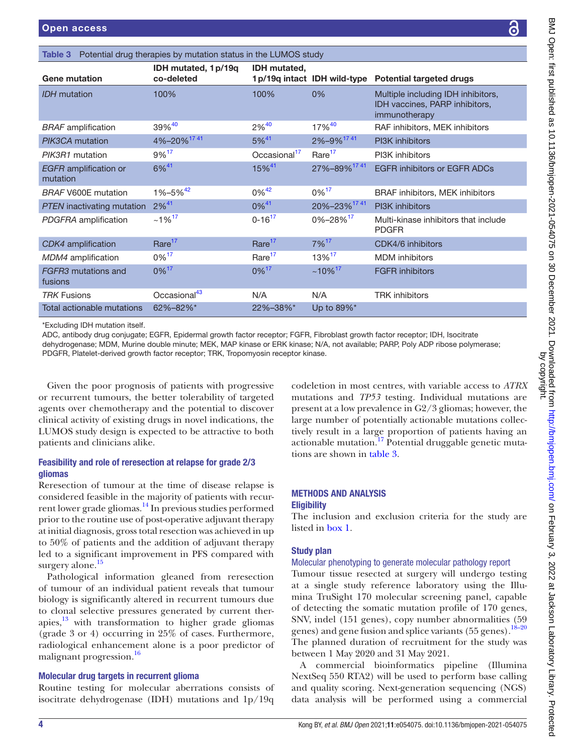<span id="page-5-0"></span>

| <b>Open access</b>                                                                                                   |                                    |                          |                              |                                                                                                                                                                                                                                                                  |  |
|----------------------------------------------------------------------------------------------------------------------|------------------------------------|--------------------------|------------------------------|------------------------------------------------------------------------------------------------------------------------------------------------------------------------------------------------------------------------------------------------------------------|--|
|                                                                                                                      |                                    |                          |                              |                                                                                                                                                                                                                                                                  |  |
| Potential drug therapies by mutation status in the LUMOS study<br>Table 3                                            |                                    |                          |                              |                                                                                                                                                                                                                                                                  |  |
| <b>Gene mutation</b>                                                                                                 | IDH mutated, 1 p/19q<br>co-deleted | <b>IDH</b> mutated,      | 1 p/19q intact IDH wild-type | <b>Potential targeted drugs</b>                                                                                                                                                                                                                                  |  |
| <b>IDH</b> mutation                                                                                                  | 100%                               | 100%                     | 0%                           | Multiple including IDH inhibitors,<br>IDH vaccines, PARP inhibitors,<br>immunotherapy                                                                                                                                                                            |  |
| <b>BRAF</b> amplification                                                                                            | 39%40                              | $2\%^{40}$               | 17%40                        | RAF inhibitors, MEK inhibitors                                                                                                                                                                                                                                   |  |
| PIK3CA mutation                                                                                                      | 4%-20% <sup>1741</sup>             | $5%^{41}$                | 2%-9%1741                    | PI3K inhibitors                                                                                                                                                                                                                                                  |  |
| PIK3R1 mutation                                                                                                      | 9% <sup>17</sup>                   | Occasional <sup>17</sup> | Rare <sup>17</sup>           | PI3K inhibitors                                                                                                                                                                                                                                                  |  |
| <b>EGFR</b> amplification or<br>mutation                                                                             | 6% <sup>41</sup>                   | 15% <sup>41</sup>        | 27%-89% <sup>1741</sup>      | <b>EGFR inhibitors or EGFR ADCs</b>                                                                                                                                                                                                                              |  |
| <b>BRAF V600E mutation</b>                                                                                           | $1\% - 5\% + 42$                   | $0\%$ <sup>42</sup>      | $0\%$ <sup>17</sup>          | BRAF inhibitors, MEK inhibitors                                                                                                                                                                                                                                  |  |
| PTEN inactivating mutation                                                                                           | $2%^{41}$                          | $0\%^{41}$               | 20%-23% <sup>1741</sup>      | PI3K inhibitors                                                                                                                                                                                                                                                  |  |
| PDGFRA amplification                                                                                                 | $~1\%$ <sup>17</sup>               | $0 - 16^{17}$            | $0\% - 28\%$ <sup>17</sup>   | Multi-kinase inhibitors that include<br><b>PDGFR</b>                                                                                                                                                                                                             |  |
| CDK4 amplification                                                                                                   | Rare <sup>17</sup>                 | Rare <sup>17</sup>       | $7\%$ <sup>17</sup>          | CDK4/6 inhibitors                                                                                                                                                                                                                                                |  |
| MDM4 amplification                                                                                                   | $0\%$ <sup>17</sup>                | Rare <sup>17</sup>       | 13%17                        | <b>MDM</b> inhibitors                                                                                                                                                                                                                                            |  |
| FGFR3 mutations and<br>fusions                                                                                       | $0\%$ <sup>17</sup>                | $0\%$ <sup>17</sup>      | $~10\%$ <sup>17</sup>        | <b>FGFR</b> inhibitors                                                                                                                                                                                                                                           |  |
| <b>TRK Fusions</b>                                                                                                   | Occasional <sup>43</sup>           | N/A                      | N/A                          | <b>TRK</b> inhibitors                                                                                                                                                                                                                                            |  |
| <b>Total actionable mutations</b>                                                                                    | 62%-82%*                           | 22%-38%*                 | Up to 89%*                   |                                                                                                                                                                                                                                                                  |  |
| *Excluding IDH mutation itself.<br>PDGFR, Platelet-derived growth factor receptor; TRK, Tropomyosin receptor kinase. |                                    |                          |                              | ADC, antibody drug conjugate; EGFR, Epidermal growth factor receptor; FGFR, Fibroblast growth factor receptor; IDH, Isocitrate<br>dehydrogenase; MDM, Murine double minute; MEK, MAP kinase or ERK kinase; N/A, not available; PARP, Poly ADP ribose polymerase; |  |
|                                                                                                                      |                                    |                          |                              |                                                                                                                                                                                                                                                                  |  |

Given the poor prognosis of patients with progressive or recurrent tumours, the better tolerability of targeted agents over chemotherapy and the potential to discover clinical activity of existing drugs in novel indications, the LUMOS study design is expected to be attractive to both patients and clinicians alike.

### Feasibility and role of reresection at relapse for grade 2/3 gliomas

Reresection of tumour at the time of disease relapse is considered feasible in the majority of patients with recur-rent lower grade gliomas.<sup>[14](#page-10-25)</sup> In previous studies performed prior to the routine use of post-operative adjuvant therapy at initial diagnosis, gross total resection was achieved in up to 50% of patients and the addition of adjuvant therapy led to a significant improvement in PFS compared with surgery alone.<sup>[15](#page-10-26)</sup>

Pathological information gleaned from reresection of tumour of an individual patient reveals that tumour biology is significantly altered in recurrent tumours due to clonal selective pressures generated by current therapies, $13$  with transformation to higher grade gliomas (grade 3 or 4) occurring in 25% of cases. Furthermore, radiological enhancement alone is a poor predictor of malignant progression.<sup>16</sup>

### Molecular drug targets in recurrent glioma

Routine testing for molecular aberrations consists of isocitrate dehydrogenase (IDH) mutations and 1p/19q

codeletion in most centres, with variable access to *ATRX* mutations and *TP53* testing. Individual mutations are present at a low prevalence in G2/3 gliomas; however, the large number of potentially actionable mutations collectively result in a large proportion of patients having an  $\frac{17}{17}$  Potential druggable genetic mutations are shown in [table](#page-5-0) 3.

### METHODS AND ANALYSIS **Eligibility**

The inclusion and exclusion criteria for the study are listed in [box](#page-6-0) 1.

### Study plan

### Molecular phenotyping to generate molecular pathology report

Tumour tissue resected at surgery will undergo testing at a single study reference laboratory using the Illumina TruSight 170 molecular screening panel, capable of detecting the somatic mutation profile of 170 genes, SNV, indel (151 genes), copy number abnormalities (59 genes) and gene fusion and splice variants (55 genes).<sup>18-20</sup> The planned duration of recruitment for the study was between 1 May 2020 and 31 May 2021.

A commercial bioinformatics pipeline (Illumina NextSeq 550 RTA2) will be used to perform base calling and quality scoring. Next-generation sequencing (NGS) data analysis will be performed using a commercial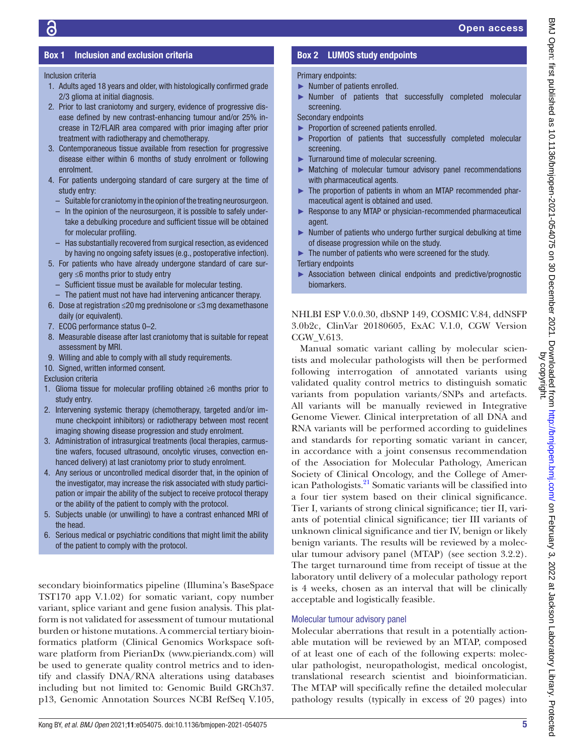### Box 1 Inclusion and exclusion criteria

### <span id="page-6-0"></span>Inclusion criteria

- 1. Adults aged 18 years and older, with histologically confirmed grade 2/3 glioma at initial diagnosis.
- 2. Prior to last craniotomy and surgery, evidence of progressive disease defined by new contrast-enhancing tumour and/or 25% increase in T2/FLAIR area compared with prior imaging after prior treatment with radiotherapy and chemotherapy.
- 3. Contemporaneous tissue available from resection for progressive disease either within 6 months of study enrolment or following enrolment.
- 4. For patients undergoing standard of care surgery at the time of study entry:
	- Suitable for craniotomy in the opinion of the treating neurosurgeon.
	- In the opinion of the neurosurgeon, it is possible to safely undertake a debulking procedure and sufficient tissue will be obtained for molecular profiling.
	- Has substantially recovered from surgical resection, as evidenced by having no ongoing safety issues (e.g., postoperative infection).
- 5. For patients who have already undergone standard of care surgery ≤6 months prior to study entry
	- Sufficient tissue must be available for molecular testing.
- The patient must not have had intervening anticancer therapy. 6. Dose at registration ≤20mg prednisolone or ≤3mg dexamethasone
- daily (or equivalent).
- 7. ECOG performance status 0–2.
- 8. Measurable disease after last craniotomy that is suitable for repeat assessment by MRI.
- 9. Willing and able to comply with all study requirements.
- 10. Signed, written informed consent.

Exclusion criteria

- 1. Glioma tissue for molecular profiling obtained ≥6 months prior to study entry.
- 2. Intervening systemic therapy (chemotherapy, targeted and/or immune checkpoint inhibitors) or radiotherapy between most recent imaging showing disease progression and study enrolment.
- 3. Administration of intrasurgical treatments (local therapies, carmustine wafers, focused ultrasound, oncolytic viruses, convection enhanced delivery) at last craniotomy prior to study enrolment.
- 4. Any serious or uncontrolled medical disorder that, in the opinion of the investigator, may increase the risk associated with study participation or impair the ability of the subject to receive protocol therapy or the ability of the patient to comply with the protocol.
- 5. Subjects unable (or unwilling) to have a contrast enhanced MRI of the head.
- 6. Serious medical or psychiatric conditions that might limit the ability of the patient to comply with the protocol.

secondary bioinformatics pipeline (Illumina's BaseSpace TST170 app V.1.02) for somatic variant, copy number variant, splice variant and gene fusion analysis. This platform is not validated for assessment of tumour mutational burden or histone mutations. A commercial tertiary bioinformatics platform (Clinical Genomics Workspace software platform from PierianDx [\(www.pieriandx.com\)](www.pieriandx.com) will be used to generate quality control metrics and to identify and classify DNA/RNA alterations using databases including but not limited to: Genomic Build GRCh37. p13, Genomic Annotation Sources NCBI RefSeq V.105,

### Box 2 LUMOS study endpoints

### <span id="page-6-1"></span>Primary endpoints:

- ► Number of patients enrolled.
- ► Number of patients that successfully completed molecular screening.

Secondary endpoints

- ► Proportion of screened patients enrolled.
- ► Proportion of patients that successfully completed molecular screening.
- ► Turnaround time of molecular screening.
- ► Matching of molecular tumour advisory panel recommendations with pharmaceutical agents.
- ► The proportion of patients in whom an MTAP recommended pharmaceutical agent is obtained and used.
- ► Response to any MTAP or physician-recommended pharmaceutical agent.
- ► Number of patients who undergo further surgical debulking at time of disease progression while on the study.
- ► The number of patients who were screened for the study.
- Tertiary endpoints
- Association between clinical endpoints and predictive/prognostic biomarkers.

NHLBI ESP V.0.0.30, dbSNP 149, COSMIC V.84, ddNSFP 3.0b2c, ClinVar 20180605, ExAC V.1.0, CGW Version CGW\_V.613.

Manual somatic variant calling by molecular scientists and molecular pathologists will then be performed following interrogation of annotated variants using validated quality control metrics to distinguish somatic variants from population variants/SNPs and artefacts. All variants will be manually reviewed in Integrative Genome Viewer. Clinical interpretation of all DNA and RNA variants will be performed according to guidelines and standards for reporting somatic variant in cancer, in accordance with a joint consensus recommendation of the Association for Molecular Pathology, American Society of Clinical Oncology, and the College of American Pathologists.<sup>21</sup> Somatic variants will be classified into a four tier system based on their clinical significance. Tier I, variants of strong clinical significance; tier II, variants of potential clinical significance; tier III variants of unknown clinical significance and tier IV, benign or likely benign variants. The results will be reviewed by a molecular tumour advisory panel (MTAP) (see section 3.2.2). The target turnaround time from receipt of tissue at the laboratory until delivery of a molecular pathology report is 4 weeks, chosen as an interval that will be clinically acceptable and logistically feasible.

### Molecular tumour advisory panel

Molecular aberrations that result in a potentially actionable mutation will be reviewed by an MTAP, composed of at least one of each of the following experts: molecular pathologist, neuropathologist, medical oncologist, translational research scientist and bioinformatician. The MTAP will specifically refine the detailed molecular pathology results (typically in excess of 20 pages) into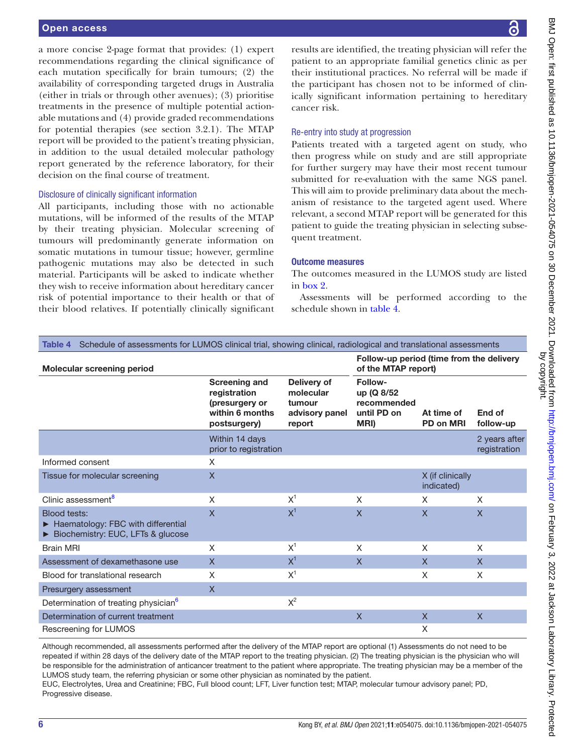a more concise 2-page format that provides: (1) expert recommendations regarding the clinical significance of each mutation specifically for brain tumours; (2) the availability of corresponding targeted drugs in Australia (either in trials or through other avenues); (3) prioritise treatments in the presence of multiple potential actionable mutations and (4) provide graded recommendations for potential therapies (see section 3.2.1). The MTAP report will be provided to the patient's treating physician, in addition to the usual detailed molecular pathology report generated by the reference laboratory, for their decision on the final course of treatment.

### Disclosure of clinically significant information

All participants, including those with no actionable mutations, will be informed of the results of the MTAP by their treating physician. Molecular screening of tumours will predominantly generate information on somatic mutations in tumour tissue; however, germline pathogenic mutations may also be detected in such material. Participants will be asked to indicate whether they wish to receive information about hereditary cancer risk of potential importance to their health or that of their blood relatives. If potentially clinically significant

results are identified, the treating physician will refer the patient to an appropriate familial genetics clinic as per their institutional practices. No referral will be made if the participant has chosen not to be informed of clinically significant information pertaining to hereditary cancer risk.

#### Re-entry into study at progression

Patients treated with a targeted agent on study, who then progress while on study and are still appropriate for further surgery may have their most recent tumour submitted for re-evaluation with the same NGS panel. This will aim to provide preliminary data about the mechanism of resistance to the targeted agent used. Where relevant, a second MTAP report will be generated for this patient to guide the treating physician in selecting subsequent treatment.

#### Outcome measures

The outcomes measured in the LUMOS study are listed in [box](#page-6-1) 2.

Assessments will be performed according to the schedule shown in [table](#page-7-0) 4.

<span id="page-7-0"></span>

| Schedule of assessments for LUMOS clinical trial, showing clinical, radiological and translational assessments<br>Table 4 |                                                                                           |                                                                |                                                             |                                |                               |  |
|---------------------------------------------------------------------------------------------------------------------------|-------------------------------------------------------------------------------------------|----------------------------------------------------------------|-------------------------------------------------------------|--------------------------------|-------------------------------|--|
| Molecular screening period                                                                                                | Follow-up period (time from the delivery<br>of the MTAP report)                           |                                                                |                                                             |                                |                               |  |
|                                                                                                                           | <b>Screening and</b><br>registration<br>(presurgery or<br>within 6 months<br>postsurgery) | Delivery of<br>molecular<br>tumour<br>advisory panel<br>report | Follow-<br>up (Q 8/52<br>recommended<br>until PD on<br>MRI) | At time of<br>PD on MRI        | End of<br>follow-up           |  |
|                                                                                                                           | Within 14 days<br>prior to registration                                                   |                                                                |                                                             |                                | 2 years after<br>registration |  |
| Informed consent                                                                                                          | X                                                                                         |                                                                |                                                             |                                |                               |  |
| Tissue for molecular screening                                                                                            | $\boldsymbol{\mathsf{X}}$                                                                 |                                                                |                                                             | X (if clinically<br>indicated) |                               |  |
| Clinic assessment <sup>8</sup>                                                                                            | $\times$                                                                                  | $X^1$                                                          | X                                                           | X                              | X                             |  |
| Blood tests:<br>► Haematology: FBC with differential<br>Biochemistry: EUC, LFTs & glucose                                 | $\mathsf{x}$                                                                              | $X^1$                                                          | $\mathsf{X}$                                                | $\mathsf{X}$                   | $\mathsf{X}$                  |  |
| <b>Brain MRI</b>                                                                                                          | X                                                                                         | $X^1$                                                          | X                                                           | X                              | $\times$                      |  |
| Assessment of dexamethasone use                                                                                           | $\mathsf{X}$                                                                              | $X^1$                                                          | $\mathsf{X}$                                                | $\mathsf{X}$                   | $\mathsf{X}$                  |  |
| Blood for translational research                                                                                          | X                                                                                         | $X^1$                                                          |                                                             | X                              | X                             |  |
| Presurgery assessment                                                                                                     | $\mathsf{X}$                                                                              |                                                                |                                                             |                                |                               |  |
| Determination of treating physician <sup>6</sup>                                                                          |                                                                                           | $X^2$                                                          |                                                             |                                |                               |  |
| Determination of current treatment                                                                                        |                                                                                           |                                                                | X                                                           | X                              | $\mathsf{X}$                  |  |
| Rescreening for LUMOS                                                                                                     |                                                                                           |                                                                |                                                             | X                              |                               |  |

Although recommended, all assessments performed after the delivery of the MTAP report are optional (1) Assessments do not need to be repeated if within 28 days of the delivery date of the MTAP report to the treating physician. (2) The treating physician is the physician who will be responsible for the administration of anticancer treatment to the patient where appropriate. The treating physician may be a member of the LUMOS study team, the referring physician or some other physician as nominated by the patient.

EUC, Electrolytes, Urea and Creatinine; FBC, Full blood count; LFT, Liver function test; MTAP, molecular tumour advisory panel; PD, Progressive disease.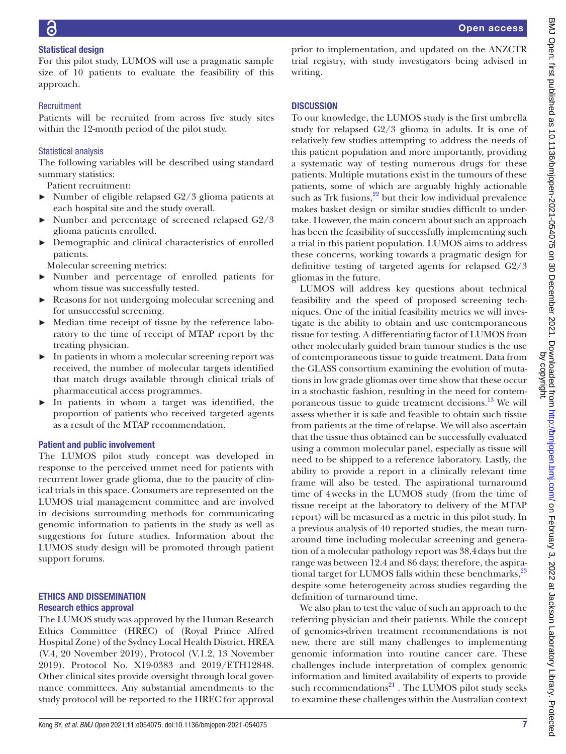### Statistical design

For this pilot study, LUMOS will use a pragmatic sample size of 10 patients to evaluate the feasibility of this approach.

### **Recruitment**

Patients will be recruited from across five study sites within the 12-month period of the pilot study.

### Statistical analysis

The following variables will be described using standard summary statistics:

Patient recruitment:

- $\blacktriangleright$  Number of eligible relapsed G2/3 glioma patients at each hospital site and the study overall.
- Number and percentage of screened relapsed G2/3 glioma patients enrolled.
- ► Demographic and clinical characteristics of enrolled patients.

Molecular screening metrics:

- ► Number and percentage of enrolled patients for whom tissue was successfully tested.
- ► Reasons for not undergoing molecular screening and for unsuccessful screening.
- ► Median time receipt of tissue by the reference laboratory to the time of receipt of MTAP report by the treating physician.
- ► In patients in whom a molecular screening report was received, the number of molecular targets identified that match drugs available through clinical trials of pharmaceutical access programmes.
- ► In patients in whom a target was identified, the proportion of patients who received targeted agents as a result of the MTAP recommendation.

#### Patient and public involvement

The LUMOS pilot study concept was developed in response to the perceived unmet need for patients with recurrent lower grade glioma, due to the paucity of clinical trials in this space. Consumers are represented on the LUMOS trial management committee and are involved in decisions surrounding methods for communicating genomic information to patients in the study as well as suggestions for future studies. Information about the LUMOS study design will be promoted through patient support forums.

#### ETHICS AND DISSEMINATION Research ethics approval

The LUMOS study was approved by the Human Research Ethics Committee (HREC) of (Royal Prince Alfred Hospital Zone) of the Sydney Local Health District. HREA (V.4, 20 November 2019), Protocol (V.1.2, 13 November 2019). Protocol No. X19-0383 and 2019/ETH12848. Other clinical sites provide oversight through local governance committees. Any substantial amendments to the study protocol will be reported to the HREC for approval

prior to implementation, and updated on the ANZCTR trial registry, with study investigators being advised in writing.

### **DISCUSSION**

To our knowledge, the LUMOS study is the first umbrella study for relapsed G2/3 glioma in adults. It is one of relatively few studies attempting to address the needs of this patient population and more importantly, providing a systematic way of testing numerous drugs for these patients. Multiple mutations exist in the tumours of these patients, some of which are arguably highly actionable such as Trk fusions, $22$  but their low individual prevalence makes basket design or similar studies difficult to undertake. However, the main concern about such an approach has been the feasibility of successfully implementing such a trial in this patient population. LUMOS aims to address these concerns, working towards a pragmatic design for definitive testing of targeted agents for relapsed G2/3 gliomas in the future.

LUMOS will address key questions about technical feasibility and the speed of proposed screening techniques. One of the initial feasibility metrics we will investigate is the ability to obtain and use contemporaneous tissue for testing. A differentiating factor of LUMOS from other molecularly guided brain tumour studies is the use of contemporaneous tissue to guide treatment. Data from the GLASS consortium examining the evolution of mutations in low grade gliomas over time show that these occur in a stochastic fashion, resulting in the need for contemporaneous tissue to guide treatment decisions. $^{13}$  We will assess whether it is safe and feasible to obtain such tissue from patients at the time of relapse. We will also ascertain that the tissue thus obtained can be successfully evaluated using a common molecular panel, especially as tissue will need to be shipped to a reference laboratory. Lastly, the ability to provide a report in a clinically relevant time frame will also be tested. The aspirational turnaround time of 4weeks in the LUMOS study (from the time of tissue receipt at the laboratory to delivery of the MTAP report) will be measured as a metric in this pilot study. In a previous analysis of 40 reported studies, the mean turnaround time including molecular screening and generation of a molecular pathology report was 38.4days but the range was between 12.4 and 86 days; therefore, the aspira-tional target for LUMOS falls within these benchmarks,<sup>[23](#page-10-36)</sup> despite some heterogeneity across studies regarding the definition of turnaround time.

We also plan to test the value of such an approach to the referring physician and their patients. While the concept of genomics-driven treatment recommendations is not new, there are still many challenges to implementing genomic information into routine cancer care. These challenges include interpretation of complex genomic information and limited availability of experts to provide such recommendations $^{21}$ . The LUMOS pilot study seeks to examine these challenges within the Australian context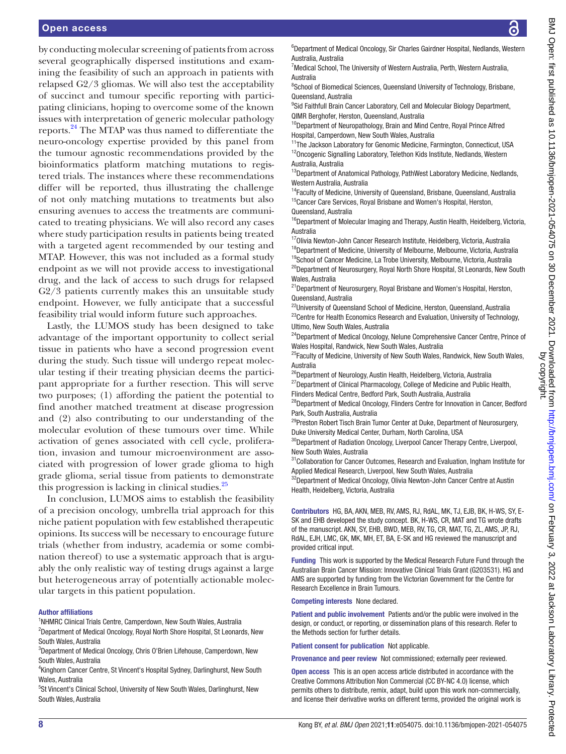### Open access

by conducting molecular screening of patients from across several geographically dispersed institutions and examining the feasibility of such an approach in patients with relapsed G2/3 gliomas. We will also test the acceptability of succinct and tumour specific reporting with participating clinicians, hoping to overcome some of the known issues with interpretation of generic molecular pathology reports[.24](#page-10-37) The MTAP was thus named to differentiate the neuro-oncology expertise provided by this panel from the tumour agnostic recommendations provided by the bioinformatics platform matching mutations to registered trials. The instances where these recommendations differ will be reported, thus illustrating the challenge of not only matching mutations to treatments but also ensuring avenues to access the treatments are communicated to treating physicians. We will also record any cases where study participation results in patients being treated with a targeted agent recommended by our testing and MTAP. However, this was not included as a formal study endpoint as we will not provide access to investigational drug, and the lack of access to such drugs for relapsed G2/3 patients currently makes this an unsuitable study endpoint. However, we fully anticipate that a successful feasibility trial would inform future such approaches.

Lastly, the LUMOS study has been designed to take advantage of the important opportunity to collect serial tissue in patients who have a second progression event during the study. Such tissue will undergo repeat molecular testing if their treating physician deems the participant appropriate for a further resection. This will serve two purposes; (1) affording the patient the potential to find another matched treatment at disease progression and (2) also contributing to our understanding of the molecular evolution of these tumours over time. While activation of genes associated with cell cycle, proliferation, invasion and tumour microenvironment are associated with progression of lower grade glioma to high grade glioma, serial tissue from patients to demonstrate this progression is lacking in clinical studies. $^{25}$ 

In conclusion, LUMOS aims to establish the feasibility of a precision oncology, umbrella trial approach for this niche patient population with few established therapeutic opinions. Its success will be necessary to encourage future trials (whether from industry, academia or some combination thereof) to use a systematic approach that is arguably the only realistic way of testing drugs against a large but heterogeneous array of potentially actionable molecular targets in this patient population.

#### Author affiliations

<sup>1</sup>NHMRC Clinical Trials Centre, Camperdown, New South Wales, Australia

<sup>2</sup>Department of Medical Oncology, Royal North Shore Hospital, St Leonards, New South Wales, Australia

<sup>3</sup>Department of Medical Oncology, Chris O'Brien Lifehouse, Camperdown, New South Wales, Australia

4 Kinghorn Cancer Centre, St Vincent's Hospital Sydney, Darlinghurst, New South Wales, Australia

<sup>5</sup>St Vincent's Clinical School, University of New South Wales, Darlinghurst, New South Wales, Australia

<sup>6</sup>Department of Medical Oncology, Sir Charles Gairdner Hospital, Nedlands, Western Australia, Australia

<sup>7</sup> Medical School, The University of Western Australia, Perth, Western Australia, Australia

<sup>8</sup>School of Biomedical Sciences, Queensland University of Technology, Brisbane, Queensland, Australia

<sup>9</sup>Sid Faithfull Brain Cancer Laboratory, Cell and Molecular Biology Department, QIMR Berghofer, Herston, Queensland, Australia

<sup>10</sup>Department of Neuropathology, Brain and Mind Centre, Royal Prince Alfred Hospital, Camperdown, New South Wales, Australia

 $11$ The Jackson Laboratory for Genomic Medicine, Farmington, Connecticut, USA  $12$ Oncogenic Signalling Laboratory, Telethon Kids Institute, Nedlands, Western Australia, Australia

<sup>13</sup>Department of Anatomical Pathology, PathWest Laboratory Medicine, Nedlands, Western Australia, Australia

<sup>14</sup>Faculty of Medicine, University of Queensland, Brisbane, Queensland, Australia <sup>15</sup>Cancer Care Services, Royal Brisbane and Women's Hospital, Herston, Queensland, Australia

<sup>16</sup>Department of Molecular Imaging and Therapy, Austin Health, Heidelberg, Victoria, Australia

<sup>17</sup>Olivia Newton-John Cancer Research Institute, Heidelberg, Victoria, Australia <sup>18</sup>Department of Medicine, University of Melbourne, Melbourne, Victoria, Australia <sup>19</sup>School of Cancer Medicine, La Trobe University, Melbourne, Victoria, Australia <sup>20</sup>Department of Neurosurgery, Royal North Shore Hospital, St Leonards, New South Wales, Australia

<sup>21</sup>Department of Neurosurgery, Royal Brisbane and Women's Hospital, Herston, Queensland, Australia

<sup>22</sup>University of Queensland School of Medicine, Herston, Queensland, Australia <sup>23</sup>Centre for Health Economics Research and Evaluation, University of Technology, Ultimo, New South Wales, Australia

<sup>24</sup>Department of Medical Oncology, Nelune Comprehensive Cancer Centre, Prince of Wales Hospital, Randwick, New South Wales, Australia

<sup>25</sup>Faculty of Medicine, University of New South Wales, Randwick, New South Wales, Australia

<sup>26</sup>Department of Neurology, Austin Health, Heidelberg, Victoria, Australia <sup>27</sup>Department of Clinical Pharmacology, College of Medicine and Public Health,

Flinders Medical Centre, Bedford Park, South Australia, Australia

<sup>28</sup>Department of Medical Oncology, Flinders Centre for Innovation in Cancer, Bedford Park, South Australia, Australia

<sup>29</sup>Preston Robert Tisch Brain Tumor Center at Duke, Department of Neurosurgery, Duke University Medical Center, Durham, North Carolina, USA

<sup>30</sup>Department of Radiation Oncology, Liverpool Cancer Therapy Centre, Liverpool, New South Wales, Australia

<sup>31</sup>Collaboration for Cancer Outcomes, Research and Evaluation, Ingham Institute for Applied Medical Research, Liverpool, New South Wales, Australia

<sup>32</sup>Department of Medical Oncology, Olivia Newton-John Cancer Centre at Austin Health, Heidelberg, Victoria, Australia

Contributors HG, BA, AKN, MEB, RV, AMS, RJ, RdAL, MK, TJ, EJB, BK, H-WS, SY, E-SK and EHB developed the study concept. BK, H-WS, CR, MAT and TG wrote drafts of the manuscript. AKN, SY, EHB, BWD, MEB, RV, TG, CR, MAT, TG, ZL, AMS, JP, RJ, RdAL, EJH, LMC, GK, MK, MH, ET, BA, E-SK and HG reviewed the manuscript and provided critical input.

Funding This work is supported by the Medical Research Future Fund through the Australian Brain Cancer Mission: Innovative Clinical Trials Grant (G203531). HG and AMS are supported by funding from the Victorian Government for the Centre for Research Excellence in Brain Tumours.

Competing interests None declared.

Patient and public involvement Patients and/or the public were involved in the design, or conduct, or reporting, or dissemination plans of this research. Refer to the Methods section for further details.

Patient consent for publication Not applicable.

Provenance and peer review Not commissioned; externally peer reviewed.

Open access This is an open access article distributed in accordance with the Creative Commons Attribution Non Commercial (CC BY-NC 4.0) license, which permits others to distribute, remix, adapt, build upon this work non-commercially, and license their derivative works on different terms, provided the original work is